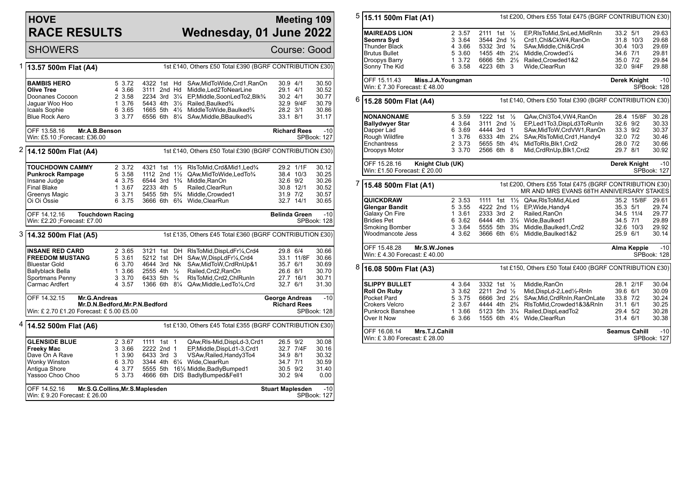## **HOVE RACE RESULTS**

## **Meeting 109 Wednesday, 01 June 2022**

**SHOWERS** Course: Good

| 1 | 13.57 500m Flat (A4)                                                             | 1st £140, Others £50 Total £390 (BGRF CONTRIBUTION £30) |                                                       |                |                                                            |                                             |            |                |  |
|---|----------------------------------------------------------------------------------|---------------------------------------------------------|-------------------------------------------------------|----------------|------------------------------------------------------------|---------------------------------------------|------------|----------------|--|
|   | <b>BAMBIS HERO</b><br>Olive Tree                                                 | 5 3.72<br>4 3.66                                        | 4322 1st Hd<br>3111 2nd Hd                            |                | SAw, Mid To Wide, Crd1, RanOn<br>Middle, Led 2To Near Line | 30.9 4/1<br>29.1 4/1                        |            | 30.50<br>30.52 |  |
|   | Doonanes Cocoon                                                                  | 2 3.58                                                  | 2234 3rd 31/4                                         |                | EP, Middle, SoonLedTo2, Blk3/4                             | 30.2 4/1                                    |            | 30.77          |  |
|   | Jaquar Woo Hoo                                                                   | 1 3.76                                                  | 5443 4th                                              | $3\frac{1}{2}$ | Railed, Baulked%                                           |                                             | 32.9 9/4F  | 30.79          |  |
|   | Icaals Sophie                                                                    | 6 3.65                                                  | 1665 5th $4\frac{1}{2}$                               |                | MiddleToWide, Baulked3/4                                   | 28.2 3/1                                    |            | 30.86          |  |
|   | <b>Blue Rock Aero</b>                                                            | 3 3.77                                                  |                                                       |                | 6556 6th 81/4 SAw, Middle, BBaulked <sup>3</sup> /4        | 33.1 8/1                                    |            | 31.17          |  |
|   | OFF 13.58.16<br>Mr.A.B.Benson                                                    |                                                         |                                                       |                |                                                            | $-10$<br><b>Richard Rees</b><br>SPBook: 127 |            |                |  |
|   | Win: £5.10 ; Forecast: £36.00                                                    |                                                         |                                                       |                |                                                            |                                             |            |                |  |
| 2 | 1st £140, Others £50 Total £390 (BGRF CONTRIBUTION £30)<br> 14.12 500m Flat (A4) |                                                         |                                                       |                |                                                            |                                             |            |                |  |
|   | <b>TOUCHDOWN CAMMY</b>                                                           | 2 3.72                                                  | 4321 1st                                              | $1\frac{1}{2}$ | RIsToMid, Crd&Mid1, Led%                                   |                                             | 29.2 1/1F  | 30.12          |  |
|   | <b>Punkrock Rampage</b>                                                          | 5 3.58                                                  | 1112 2nd $1\frac{1}{2}$                               |                | QAw, MidToWide, LedTo3/4                                   |                                             | 38.4 10/3  | 30.25          |  |
|   | Insane Judge                                                                     | 4 3.75                                                  | 6544 3rd 1 <sup>3</sup> / <sub>4</sub>                |                | Middle, RanOn                                              | 32.6 9/2                                    |            | 30.26          |  |
|   | <b>Final Blake</b>                                                               | 1 3.67                                                  | 2233 4th 5                                            |                | Railed, ClearRun                                           |                                             | 30.8 12/1  | 30.52          |  |
|   | Greenys Magic                                                                    | 3 3.71                                                  | 5455 5th 5 <sup>3</sup> / <sub>4</sub>                |                | Middle.Crowded1                                            | 31.9 7/2                                    |            | 30.57          |  |
|   | Oi Oi Ossie                                                                      | 6 3.75                                                  |                                                       |                | 3666 6th 6 <sup>3</sup> / <sub>4</sub> Wide, ClearRun      |                                             | 32.7 14/1  | 30.65          |  |
|   | <b>Touchdown Racing</b><br>OFF 14.12.16                                          |                                                         |                                                       |                |                                                            | <b>Belinda Green</b>                        |            | $-10$          |  |
|   | Win: £2.20 ; Forecast: £7.00                                                     |                                                         |                                                       |                |                                                            |                                             |            | SPBook: 128    |  |
|   | 3  14.32 500m Flat (A5)                                                          | 1st £135, Others £45 Total £360 (BGRF CONTRIBUTION £30) |                                                       |                |                                                            |                                             |            |                |  |
|   | <b>INSANE RED CARD</b>                                                           | 2 3.65                                                  | 3121 1st DH                                           |                | RIsToMid, DispLdFr1/4, Crd4                                | 29.8 6/4                                    |            | 30.66          |  |
|   | <b>FREEDOM MUSTANG</b>                                                           | 5 3.61                                                  | 5212 1st DH                                           |                | SAw, W, DispLdFr <sup>1</sup> / <sub>4</sub> , Crd4        |                                             | 33.1 11/8F | 30.66          |  |
|   | <b>Bluestar Gold</b>                                                             | 6 3.70                                                  | 4644 3rd Nk                                           |                | SAw, MidToW, CrdRnUp&1                                     | 35.7 6/1                                    |            | 30.69          |  |
|   | <b>Ballyblack Bella</b>                                                          | 1 3.66                                                  | 2555 4th 1/2                                          |                | Railed, Crd2, RanOn                                        | 26.6 8/1                                    |            | 30.70          |  |
|   | Sportmans Penny                                                                  | 3 3.70                                                  | 6433 5th <sup>3</sup> / <sub>4</sub>                  |                | RIsToMid, Crd2, ChlRunIn                                   |                                             | 27.7 16/1  | 30.71          |  |
|   | Carmac Ardfert                                                                   | 4 3.57                                                  |                                                       |                | 1366 6th 81/4 QAw, Middle, Led To1/4, Crd                  | 32.7 6/1                                    |            | 31.30          |  |
|   | OFF 14.32.15<br>Mr.G.Andreas<br>Mr.D.N.Bedford, Mr.P.N.Bedford                   |                                                         | <b>George Andreas</b><br>$-10$<br><b>Richard Rees</b> |                |                                                            |                                             |            |                |  |
|   | Win: £ 2.70 £1.20 Forecast: £ 5.00 £5.00                                         |                                                         |                                                       |                |                                                            |                                             |            | SPBook: 128    |  |
| 4 | 14.52 500m Flat (A6)                                                             | 1st £130, Others £45 Total £355 (BGRF CONTRIBUTION £30) |                                                       |                |                                                            |                                             |            |                |  |
|   | <b>GLENSIDE BLUE</b>                                                             | 2 3.67                                                  | 1111 1st 1                                            |                | QAw, RIs-Mid, DispLd-3, Crd1                               | 26.5 9/2                                    |            | 30.08          |  |
|   | <b>Freeky Mac</b>                                                                | 3 3.66                                                  | 2222 2nd 1                                            |                | EP, Middle, DispLd1-3, Crd1                                |                                             | 32.7 7/4F  | 30.16          |  |
|   | Dave On A Rave                                                                   | 1 3.90                                                  | 6433 3rd 3                                            |                | VSAw, Railed, Handy 3To4                                   | 34.9 8/1                                    |            | 30.32          |  |
|   | Wonky Winston                                                                    | 6 3.70                                                  |                                                       |                | 3344 4th 61/4 Wide, ClearRun                               | 34.7 7/1                                    |            | 30.59          |  |
|   | Antiqua Shore                                                                    | 4 3.77                                                  |                                                       |                | 5555 5th 161/2 Middle, Badly Bumped 1                      | 30.5 9/2                                    |            | 31.40          |  |
|   | Yassoo Choo Choo                                                                 | 5 3.73                                                  |                                                       |                | 4666 6th DIS BadlyBumped&Fell1                             | 30.2 9/4                                    |            | 0.00           |  |
|   | OFF 14.52.16<br>Mr.S.G.Collins, Mr.S.Maplesden<br>Win: £9.20 Forecast: £26.00    |                                                         | <b>Stuart Maplesden</b>                               |                | $-10$<br>SPBook: 127                                       |                                             |            |                |  |

5 **15.11 500m Flat (A1)** 1st £200, Others £55 Total £475 (BGRF CONTRIBUTION £30) **MAIREADS LION** 2 3.57 2111 1st ½ EP,RIsToMid,SnLed,MidRnIn 33.2 5/1 29.63<br>Seomra Syd 3 3.64 3544 2nd ½ Crd1,ChI&CkW4,RanOn 31.8 10/3 29.68 **Seomra Syd** 3 3.64 3544 2nd ½ Crd1,Chl&CkW4,RanOn 31.8 10/3 29.68 Thunder Black 4 3.66 5332 3rd ¾ SAw,Middle,Chl&Crd4 30.4 10/3 29.69 Brutus Bullet 5 3.60 1455 4th 2¼ Middle,Crowded¼ 34.6 7/1 29.81 Droopys Barry 1 3.72 6666 5th 2½ Railed,Crowded1&2 35.0 7/2 29.84 Sonny The Kid 6 3.58 4223 6th 3 Wide,ClearRun 32.0 9/4F 29.88 OFF 15.11.43 **Miss.J.A.Youngman** Win: £ 7.30 Forecast: £ 48.00 **Derek Knight** -10 SPBook: 128 6 **15.28 500m Flat (A4)** 1st £140, Others £50 Total £390 (BGRF CONTRIBUTION £30) **NONANONAME** 5 3.59 1222 1st ½ QAw,Chl3To4,VW4,RanOn 28.4 15/8F 30.28<br> **Ballydwyer Star** 4 3.64 3111 2nd ½ EP,Led1To3,DispLd3ToRunIn 32.6 9/2 30.33 **Ballydwyer Star** 4 3.64 3111 2nd ½ EP,Led1To3,DispLd3ToRunIn 32.6 9/2 30.33<br>Dapper Lad 6 3.69 4444 3rd 1 SAw,MidToW,CrdVW1,RanOn 33.3 9/2 30.37 Dapper Lad 6 3.69 4444 3rd 1 SAw,MidToW,CrdVW1,RanOn 33.3 9/2 30.37 Rough Wildfire 1 3.76 6333 4th 2¼ SAw,RlsToMid,Crd1,Handy4 32.0 7/2 30.46 2 3.73 5655 5th 4¼ MidToRls, Blk1, Crd2 Droopys Motor 3 3.70 2566 6th 8 Mid,CrdRnUp,Blk1,Crd2 29.7 8/1 30.92 OFF 15.28.16 **Knight Club (UK)** Win: £1.50 Forecast: £ 20.00 **Derek Knight** -10 SPBook: 127 7 **15.48 500m Flat (A1)** 1st £200, Others £55 Total £475 (BGRF CONTRIBUTION £30) MR AND MRS EVANS 68TH ANNIVERSARY STAKES **QUICKDRAW** 2 3.53 1111 1st 1½ QAw,RlsToMid,ALed 35.2 15/8F 29.61 **Glengar Bandit** 5 3.55 4222 2nd 1½ EP, Wide, Handy4 35.3 5/1<br>Galaxy On Fire 3.61 2333 3rd 2 Railed, RanOn 34.5 11/4 Galaxy On Fire 1 3.61 2333 3rd 2 Railed,RanOn 34.5 11/4 29.77<br>Bridies Pet 6 3.62 6444 4th 3½ Wide,Baulked1 34.5 7/1 29.89 Bridies Pet **6 3.62 6444 4th 3½ Wide,Baulked1** 34.5 7/1 29.89<br>Smoking Bomber 3 3.64 5555 5th 3¼ Middle,Baulked1,Crd2 32.6 10/3 29.92 3 3.64 5555 5th 3<sup>3</sup>/<sub>4</sub> Middle, Baulked1, Crd2 Woodmancote Jess 4 3.62 3666 6th 6½ Middle,Baulked1&2 25.9 6/1 30.14 OFF 15.48.28 **Mr.S.W.Jones** Win: £ 4.30 Forecast: £ 40.00 **Alma Keppie** -10 SPBook: 128 8 **16.08 500m Flat (A3)** 1st £150, Others £50 Total £400 (BGRF CONTRIBUTION £30) **SLIPPY BULLET** 4 3.64 3332 1st 1/<sub>2</sub> Middle,RanOn 28.1 2/1F 30.04<br>**Roll On Ruby** 3 3.62 2211 2nd 1/<sub>2</sub> Mid,DispLd-2,Led1/<sub>2</sub>-RnIn 39.6 6/1 30.09 **Roll On Ruby** 3 3.62 2211 2nd ½ Mid,DispLd-2,Led½-RnIn 39.6 6/1 30.09 Pocket Pard 5 3.75 6666 3rd 2½ SAw,Mid,CrdRnIn,RanOnLate 33.8 7/2 30.24 Crokers Velcro 2 3.67 4444 4th 2¾ RlsToMid,Crowded1&3&RnIn 31.1 6/1 30.25 Punkrock Banshee 1 3.66 5123 5th 3¼ Railed,DispLeadTo2 29.4 5/2 30.28 Over It Now 6 3.66 1555 6th 4½ Wide,ClearRun 31.4 6/1 30.38 OFF 16.08.14 **Mrs.T.J.Cahill** Win: £ 3.80 Forecast: £ 28.00 **Seamus Cahill** -10 SPBook: 127